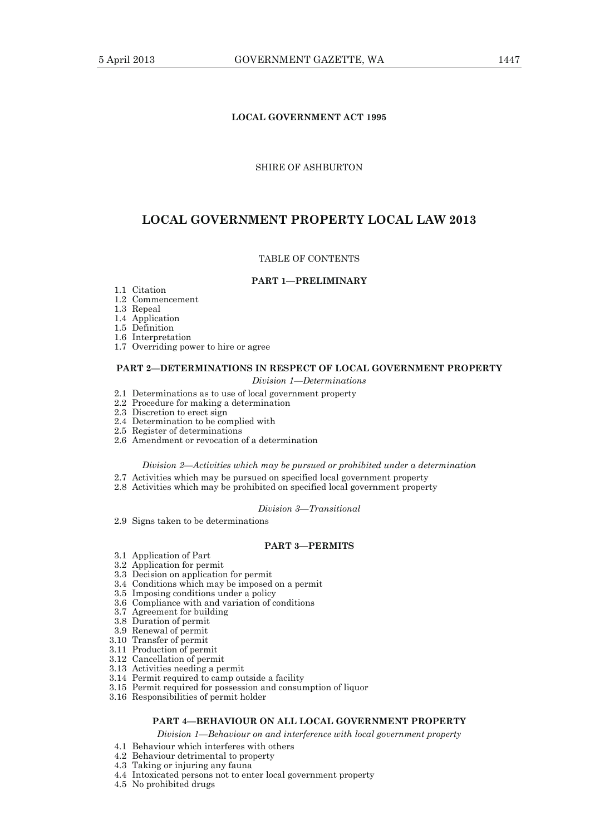# **LOCAL GOVERNMENT ACT 1995**

## SHIRE OF ASHBURTON

# **LOCAL GOVERNMENT PROPERTY LOCAL LAW 2013**

## TABLE OF CONTENTS

### **PART 1—PRELIMINARY**

- 1.1 Citation
- 1.2 Commencement
	- 1.3 Repeal
	- 1.4 Application
	- 1.5 Definition
	- 1.6 Interpretation
	- 1.7 Overriding power to hire or agree

# **PART 2—DETERMINATIONS IN RESPECT OF LOCAL GOVERNMENT PROPERTY**

- *Division 1—Determinations*
- 2.1 Determinations as to use of local government property
- 2.2 Procedure for making a determination
- 2.3 Discretion to erect sign 2.4 Determination to be complied with
- 2.5 Register of determinations
- 2.6 Amendment or revocation of a determination

## *Division 2—Activities which may be pursued or prohibited under a determination*

- 2.7 Activities which may be pursued on specified local government property
- 2.8 Activities which may be prohibited on specified local government property

## *Division 3—Transitional*

2.9 Signs taken to be determinations

## **PART 3—PERMITS**

- 3.1 Application of Part
- 3.2 Application for permit
- 3.3 Decision on application for permit
- 3.4 Conditions which may be imposed on a permit
- 3.5 Imposing conditions under a policy
- 3.6 Compliance with and variation of conditions
- 3.7 Agreement for building
- 3.8 Duration of permit
- 3.9 Renewal of permit
- 3.10 Transfer of permit
- 3.11 Production of permit
- 3.12 Cancellation of permit
- 3.13 Activities needing a permit
- 3.14 Permit required to camp outside a facility
- 3.15 Permit required for possession and consumption of liquor
- 3.16 Responsibilities of permit holder

# **PART 4—BEHAVIOUR ON ALL LOCAL GOVERNMENT PROPERTY**

*Division 1—Behaviour on and interference with local government property* 

- 4.1 Behaviour which interferes with others
- 4.2 Behaviour detrimental to property
- 4.3 Taking or injuring any fauna
- 4.4 Intoxicated persons not to enter local government property
- 4.5 No prohibited drugs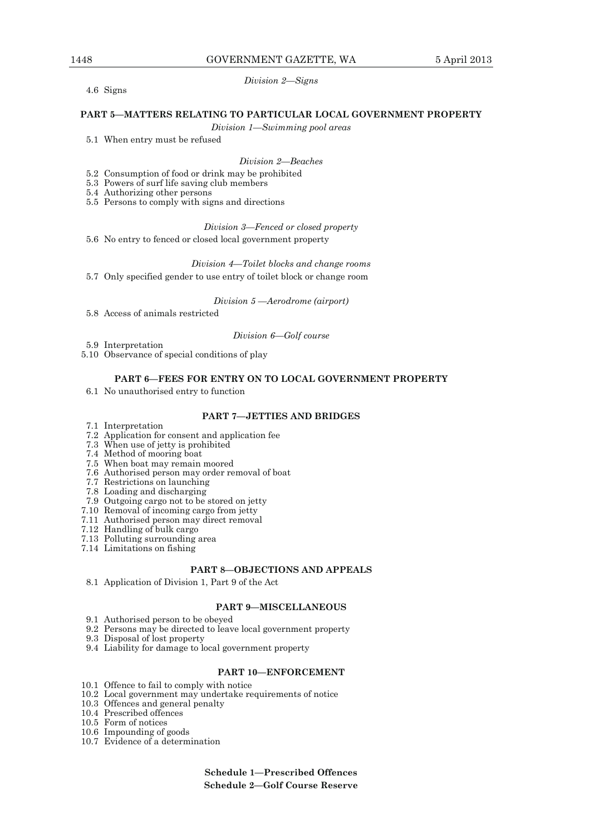4.6 Signs

## *Division 2—Signs*

## **PART 5—MATTERS RELATING TO PARTICULAR LOCAL GOVERNMENT PROPERTY**

*Division 1—Swimming pool areas* 

5.1 When entry must be refused

## *Division 2—Beaches*

- 5.2 Consumption of food or drink may be prohibited
- 5.3 Powers of surf life saving club members
	- 5.4 Authorizing other persons
	- 5.5 Persons to comply with signs and directions

#### *Division 3—Fenced or closed property*

5.6 No entry to fenced or closed local government property

*Division 4—Toilet blocks and change rooms*

5.7 Only specified gender to use entry of toilet block or change room

*Division 5 —Aerodrome (airport)* 

5.8 Access of animals restricted

#### *Division 6—Golf course*

- 5.9 Interpretation
- 5.10 Observance of special conditions of play

### **PART 6—FEES FOR ENTRY ON TO LOCAL GOVERNMENT PROPERTY**

6.1 No unauthorised entry to function

## **PART 7—JETTIES AND BRIDGES**

- 7.1 Interpretation
- 7.2 Application for consent and application fee
- 7.3 When use of jetty is prohibited
- 7.4 Method of mooring boat
- 7.5 When boat may remain moored
- 7.6 Authorised person may order removal of boat
- 7.7 Restrictions on launching
- 7.8 Loading and discharging
- 7.9 Outgoing cargo not to be stored on jetty
- 7.10 Removal of incoming cargo from jetty
- 7.11 Authorised person may direct removal
- 7.12 Handling of bulk cargo
- 7.13 Polluting surrounding area
- 7.14 Limitations on fishing

### **PART 8—OBJECTIONS AND APPEALS**

8.1 Application of Division 1, Part 9 of the Act

### **PART 9—MISCELLANEOUS**

- 9.1 Authorised person to be obeyed
- 9.2 Persons may be directed to leave local government property
- 9.3 Disposal of lost property
- 9.4 Liability for damage to local government property

## **PART 10—ENFORCEMENT**

- 10.1 Offence to fail to comply with notice
- 10.2 Local government may undertake requirements of notice
- 10.3 Offences and general penalty
- 10.4 Prescribed offences
- 10.5 Form of notices
	- 10.6 Impounding of goods
	- 10.7 Evidence of a determination

**Schedule 1—Prescribed Offences Schedule 2—Golf Course Reserve**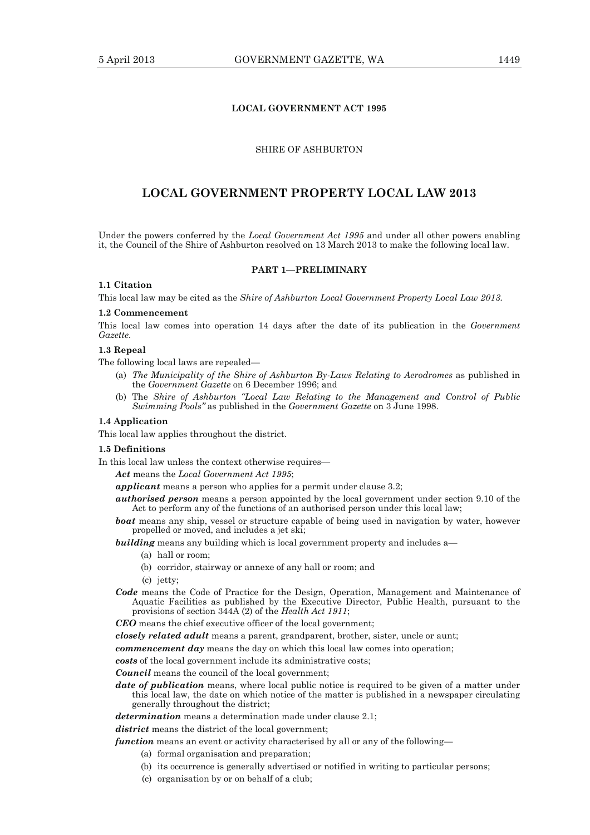## **LOCAL GOVERNMENT ACT 1995**

# SHIRE OF ASHBURTON

# **LOCAL GOVERNMENT PROPERTY LOCAL LAW 2013**

Under the powers conferred by the *Local Government Act 1995* and under all other powers enabling it, the Council of the Shire of Ashburton resolved on 13 March 2013 to make the following local law.

### **PART 1—PRELIMINARY**

# **1.1 Citation**

This local law may be cited as the *Shire of Ashburton Local Government Property Local Law 2013.*

#### **1.2 Commencement**

This local law comes into operation 14 days after the date of its publication in the *Government Gazette.* 

# **1.3 Repeal**

The following local laws are repealed—

- (a) *The Municipality of the Shire of Ashburton By-Laws Relating to Aerodromes* as published in the *Government Gazette* on 6 December 1996; and
- (b) The *Shire of Ashburton "Local Law Relating to the Management and Control of Public Swimming Pools"* as published in the *Government Gazette* on 3 June 1998.

### **1.4 Application**

This local law applies throughout the district.

### **1.5 Definitions**

In this local law unless the context otherwise requires—

*Act* means the *Local Government Act 1995*;

*applicant* means a person who applies for a permit under clause 3.2;

- *authorised person* means a person appointed by the local government under section 9.10 of the Act to perform any of the functions of an authorised person under this local law;
- *boat* means any ship, vessel or structure capable of being used in navigation by water, however propelled or moved, and includes a jet ski;

**building** means any building which is local government property and includes a—

- (a) hall or room;
- (b) corridor, stairway or annexe of any hall or room; and
- (c) jetty;
- *Code* means the Code of Practice for the Design, Operation, Management and Maintenance of Aquatic Facilities as published by the Executive Director, Public Health, pursuant to the provisions of section 344A (2) of the *Health Act 1911*;

*CEO* means the chief executive officer of the local government;

*closely related adult* means a parent, grandparent, brother, sister, uncle or aunt;

*commencement day* means the day on which this local law comes into operation;

*costs* of the local government include its administrative costs;

*Council* means the council of the local government:

*date of publication* means, where local public notice is required to be given of a matter under this local law, the date on which notice of the matter is published in a newspaper circulating generally throughout the district;

*determination* means a determination made under clause 2.1;

*district* means the district of the local government;

*function* means an event or activity characterised by all or any of the following—

- (a) formal organisation and preparation;
- (b) its occurrence is generally advertised or notified in writing to particular persons;
- (c) organisation by or on behalf of a club;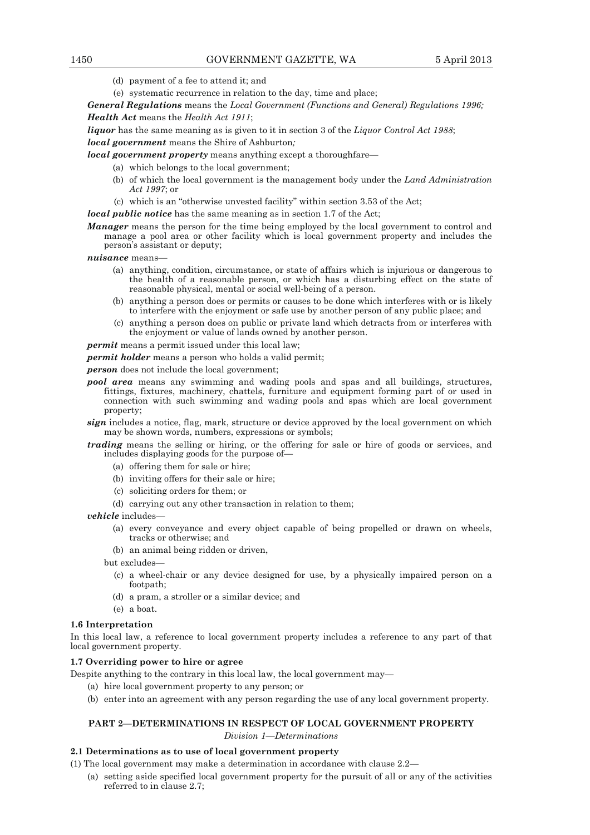- (d) payment of a fee to attend it; and
- (e) systematic recurrence in relation to the day, time and place;

*General Regulations* means the *Local Government (Functions and General) Regulations 1996; Health Act* means the *Health Act 1911*;

*liquor* has the same meaning as is given to it in section 3 of the *Liquor Control Act 1988*;

## *local government* means the Shire of Ashburton*;*

*local government property* means anything except a thoroughfare—

(a) which belongs to the local government;

- (b) of which the local government is the management body under the *Land Administration Act 1997*; or
- (c) which is an "otherwise unvested facility" within section 3.53 of the Act;

*local public notice* has the same meaning as in section 1.7 of the Act;

- *Manager* means the person for the time being employed by the local government to control and manage a pool area or other facility which is local government property and includes the person's assistant or deputy;
- *nuisance* means—
	- (a) anything, condition, circumstance, or state of affairs which is injurious or dangerous to the health of a reasonable person, or which has a disturbing effect on the state of reasonable physical, mental or social well-being of a person.
	- (b) anything a person does or permits or causes to be done which interferes with or is likely to interfere with the enjoyment or safe use by another person of any public place; and
	- (c) anything a person does on public or private land which detracts from or interferes with the enjoyment or value of lands owned by another person.

*permit* means a permit issued under this local law;

*permit holder* means a person who holds a valid permit;

*person* does not include the local government:

- *pool area* means any swimming and wading pools and spas and all buildings, structures, fittings, fixtures, machinery, chattels, furniture and equipment forming part of or used in connection with such swimming and wading pools and spas which are local government property;
- *sign* includes a notice, flag, mark, structure or device approved by the local government on which may be shown words, numbers, expressions or symbols;
- *trading* means the selling or hiring, or the offering for sale or hire of goods or services, and includes displaying goods for the purpose of—
	- (a) offering them for sale or hire;
	- (b) inviting offers for their sale or hire;
	- (c) soliciting orders for them; or
	- (d) carrying out any other transaction in relation to them;

*vehicle* includes—

- (a) every conveyance and every object capable of being propelled or drawn on wheels, tracks or otherwise; and
- (b) an animal being ridden or driven,
- but excludes—
	- (c) a wheel-chair or any device designed for use, by a physically impaired person on a footpath;
	- (d) a pram, a stroller or a similar device; and
	- (e) a boat.

## **1.6 Interpretation**

In this local law, a reference to local government property includes a reference to any part of that local government property.

## **1.7 Overriding power to hire or agree**

Despite anything to the contrary in this local law, the local government may—

- (a) hire local government property to any person; or
- (b) enter into an agreement with any person regarding the use of any local government property.

## **PART 2—DETERMINATIONS IN RESPECT OF LOCAL GOVERNMENT PROPERTY**

*Division 1—Determinations* 

## **2.1 Determinations as to use of local government property**

- (1) The local government may make a determination in accordance with clause 2.2—
	- (a) setting aside specified local government property for the pursuit of all or any of the activities referred to in clause 2.7;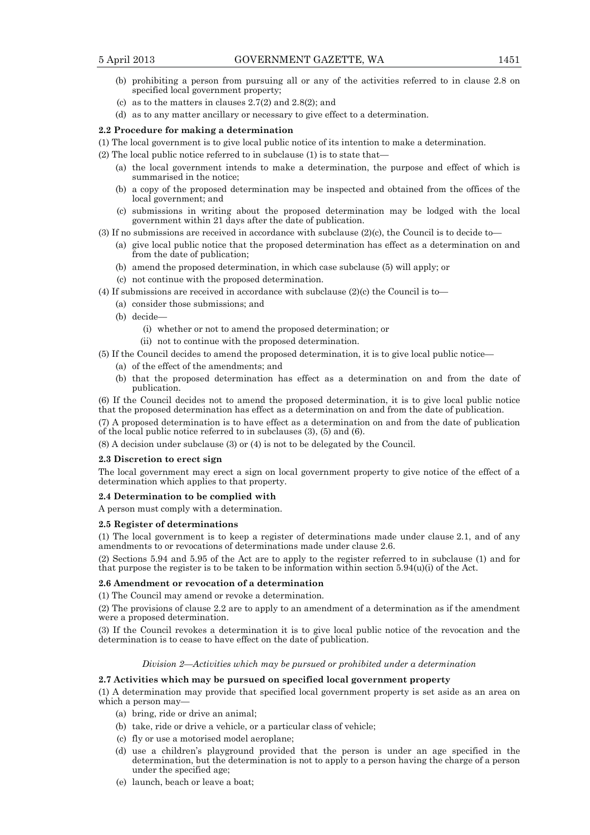- (b) prohibiting a person from pursuing all or any of the activities referred to in clause 2.8 on specified local government property;
- (c) as to the matters in clauses  $2.7(2)$  and  $2.8(2)$ ; and
- (d) as to any matter ancillary or necessary to give effect to a determination.

## **2.2 Procedure for making a determination**

- (1) The local government is to give local public notice of its intention to make a determination.
- (2) The local public notice referred to in subclause (1) is to state that—
	- (a) the local government intends to make a determination, the purpose and effect of which is summarised in the notice;
	- (b) a copy of the proposed determination may be inspected and obtained from the offices of the local government; and
	- (c) submissions in writing about the proposed determination may be lodged with the local government within 21 days after the date of publication.
- (3) If no submissions are received in accordance with subclause (2)(c), the Council is to decide to—
	- (a) give local public notice that the proposed determination has effect as a determination on and from the date of publication;
	- (b) amend the proposed determination, in which case subclause (5) will apply; or
	- (c) not continue with the proposed determination.
- (4) If submissions are received in accordance with subclause (2)(c) the Council is to—
	- (a) consider those submissions; and
	- (b) decide—
		- (i) whether or not to amend the proposed determination; or
		- (ii) not to continue with the proposed determination.
- (5) If the Council decides to amend the proposed determination, it is to give local public notice—
	- (a) of the effect of the amendments; and
	- (b) that the proposed determination has effect as a determination on and from the date of publication.

(6) If the Council decides not to amend the proposed determination, it is to give local public notice that the proposed determination has effect as a determination on and from the date of publication.

(7) A proposed determination is to have effect as a determination on and from the date of publication of the local public notice referred to in subclauses (3), (5) and (6).

(8) A decision under subclause (3) or (4) is not to be delegated by the Council.

### **2.3 Discretion to erect sign**

The local government may erect a sign on local government property to give notice of the effect of a determination which applies to that property.

### **2.4 Determination to be complied with**

A person must comply with a determination.

### **2.5 Register of determinations**

(1) The local government is to keep a register of determinations made under clause 2.1, and of any amendments to or revocations of determinations made under clause 2.6.

(2) Sections 5.94 and 5.95 of the Act are to apply to the register referred to in subclause (1) and for that purpose the register is to be taken to be information within section  $5.94(u)(i)$  of the Act.

## **2.6 Amendment or revocation of a determination**

(1) The Council may amend or revoke a determination.

(2) The provisions of clause 2.2 are to apply to an amendment of a determination as if the amendment were a proposed determination.

(3) If the Council revokes a determination it is to give local public notice of the revocation and the determination is to cease to have effect on the date of publication.

### *Division 2—Activities which may be pursued or prohibited under a determination*

## **2.7 Activities which may be pursued on specified local government property**

(1) A determination may provide that specified local government property is set aside as an area on which a person may—

- (a) bring, ride or drive an animal;
- (b) take, ride or drive a vehicle, or a particular class of vehicle;
- (c) fly or use a motorised model aeroplane;
- (d) use a children's playground provided that the person is under an age specified in the determination, but the determination is not to apply to a person having the charge of a person under the specified age;
- (e) launch, beach or leave a boat;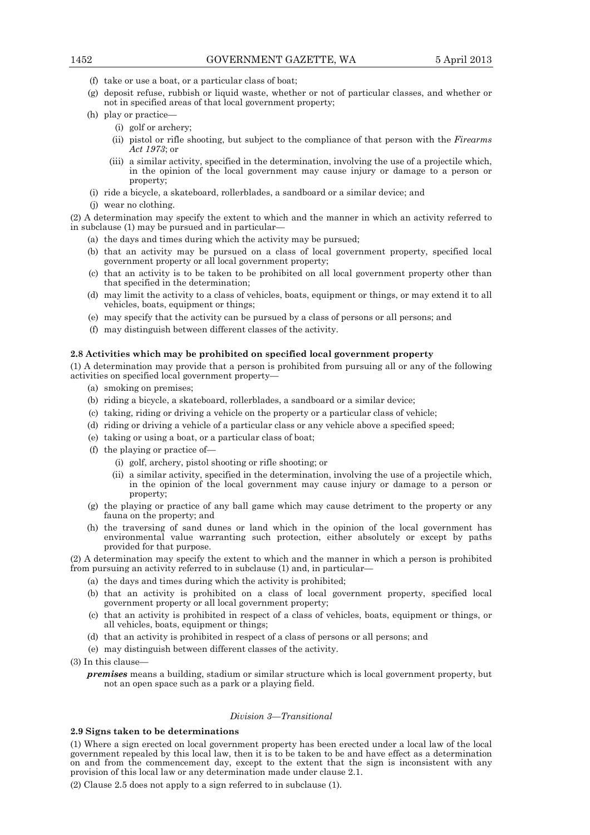- (f) take or use a boat, or a particular class of boat;
- (g) deposit refuse, rubbish or liquid waste, whether or not of particular classes, and whether or not in specified areas of that local government property;
- (h) play or practice—
	- (i) golf or archery;
	- (ii) pistol or rifle shooting, but subject to the compliance of that person with the *Firearms Act 1973*; or
	- (iii) a similar activity, specified in the determination, involving the use of a projectile which, in the opinion of the local government may cause injury or damage to a person or property;
- (i) ride a bicycle, a skateboard, rollerblades, a sandboard or a similar device; and
- (j) wear no clothing.

(2) A determination may specify the extent to which and the manner in which an activity referred to in subclause (1) may be pursued and in particular—

- (a) the days and times during which the activity may be pursued;
- (b) that an activity may be pursued on a class of local government property, specified local government property or all local government property;
- (c) that an activity is to be taken to be prohibited on all local government property other than that specified in the determination;
- (d) may limit the activity to a class of vehicles, boats, equipment or things, or may extend it to all vehicles, boats, equipment or things;
- (e) may specify that the activity can be pursued by a class of persons or all persons; and
- (f) may distinguish between different classes of the activity.

## **2.8 Activities which may be prohibited on specified local government property**

(1) A determination may provide that a person is prohibited from pursuing all or any of the following activities on specified local government property—

- (a) smoking on premises;
- (b) riding a bicycle, a skateboard, rollerblades, a sandboard or a similar device;
- (c) taking, riding or driving a vehicle on the property or a particular class of vehicle;
- (d) riding or driving a vehicle of a particular class or any vehicle above a specified speed;
- (e) taking or using a boat, or a particular class of boat;
- (f) the playing or practice of—
	- (i) golf, archery, pistol shooting or rifle shooting; or
	- (ii) a similar activity, specified in the determination, involving the use of a projectile which, in the opinion of the local government may cause injury or damage to a person or property;
- (g) the playing or practice of any ball game which may cause detriment to the property or any fauna on the property; and
- (h) the traversing of sand dunes or land which in the opinion of the local government has environmental value warranting such protection, either absolutely or except by paths provided for that purpose.

(2) A determination may specify the extent to which and the manner in which a person is prohibited from pursuing an activity referred to in subclause (1) and, in particular—

- (a) the days and times during which the activity is prohibited;
- (b) that an activity is prohibited on a class of local government property, specified local government property or all local government property;
- (c) that an activity is prohibited in respect of a class of vehicles, boats, equipment or things, or all vehicles, boats, equipment or things;
- (d) that an activity is prohibited in respect of a class of persons or all persons; and
- (e) may distinguish between different classes of the activity.
- (3) In this clause
	- *premises* means a building, stadium or similar structure which is local government property, but not an open space such as a park or a playing field.

# *Division 3—Transitional*

# **2.9 Signs taken to be determinations**

(1) Where a sign erected on local government property has been erected under a local law of the local government repealed by this local law, then it is to be taken to be and have effect as a determination on and from the commencement day, except to the extent that the sign is inconsistent with any provision of this local law or any determination made under clause 2.1.

(2) Clause 2.5 does not apply to a sign referred to in subclause (1).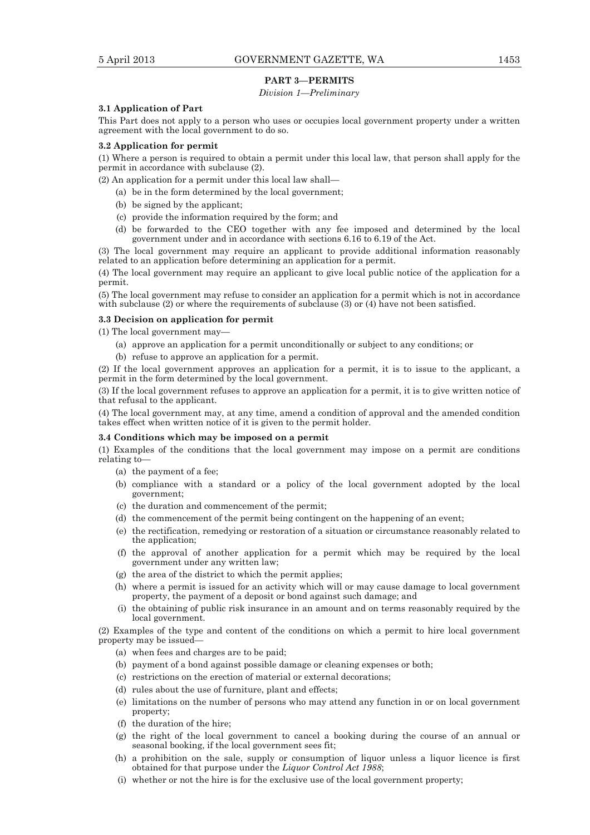## **PART 3—PERMITS**

# *Division 1—Preliminary*

### **3.1 Application of Part**

This Part does not apply to a person who uses or occupies local government property under a written agreement with the local government to do so.

## **3.2 Application for permit**

(1) Where a person is required to obtain a permit under this local law, that person shall apply for the permit in accordance with subclause (2).

(2) An application for a permit under this local law shall—

- (a) be in the form determined by the local government;
- (b) be signed by the applicant;
- (c) provide the information required by the form; and
- (d) be forwarded to the CEO together with any fee imposed and determined by the local government under and in accordance with sections 6.16 to 6.19 of the Act.

(3) The local government may require an applicant to provide additional information reasonably related to an application before determining an application for a permit.

(4) The local government may require an applicant to give local public notice of the application for a permit.

(5) The local government may refuse to consider an application for a permit which is not in accordance with subclause (2) or where the requirements of subclause (3) or (4) have not been satisfied.

### **3.3 Decision on application for permit**

(1) The local government may—

- (a) approve an application for a permit unconditionally or subject to any conditions; or
- (b) refuse to approve an application for a permit.

(2) If the local government approves an application for a permit, it is to issue to the applicant, a permit in the form determined by the local government.

(3) If the local government refuses to approve an application for a permit, it is to give written notice of that refusal to the applicant.

(4) The local government may, at any time, amend a condition of approval and the amended condition takes effect when written notice of it is given to the permit holder.

## **3.4 Conditions which may be imposed on a permit**

(1) Examples of the conditions that the local government may impose on a permit are conditions relating to—

- (a) the payment of a fee;
- (b) compliance with a standard or a policy of the local government adopted by the local government;
- (c) the duration and commencement of the permit;
- (d) the commencement of the permit being contingent on the happening of an event;
- (e) the rectification, remedying or restoration of a situation or circumstance reasonably related to the application;
- (f) the approval of another application for a permit which may be required by the local government under any written law;
- (g) the area of the district to which the permit applies;
- (h) where a permit is issued for an activity which will or may cause damage to local government property, the payment of a deposit or bond against such damage; and
- (i) the obtaining of public risk insurance in an amount and on terms reasonably required by the local government.

(2) Examples of the type and content of the conditions on which a permit to hire local government property may be issued—

- (a) when fees and charges are to be paid;
- (b) payment of a bond against possible damage or cleaning expenses or both;
- (c) restrictions on the erection of material or external decorations;
- (d) rules about the use of furniture, plant and effects;
- (e) limitations on the number of persons who may attend any function in or on local government property;
- (f) the duration of the hire;
- (g) the right of the local government to cancel a booking during the course of an annual or seasonal booking, if the local government sees fit;
- (h) a prohibition on the sale, supply or consumption of liquor unless a liquor licence is first obtained for that purpose under the *Liquor Control Act 1988*;
- (i) whether or not the hire is for the exclusive use of the local government property;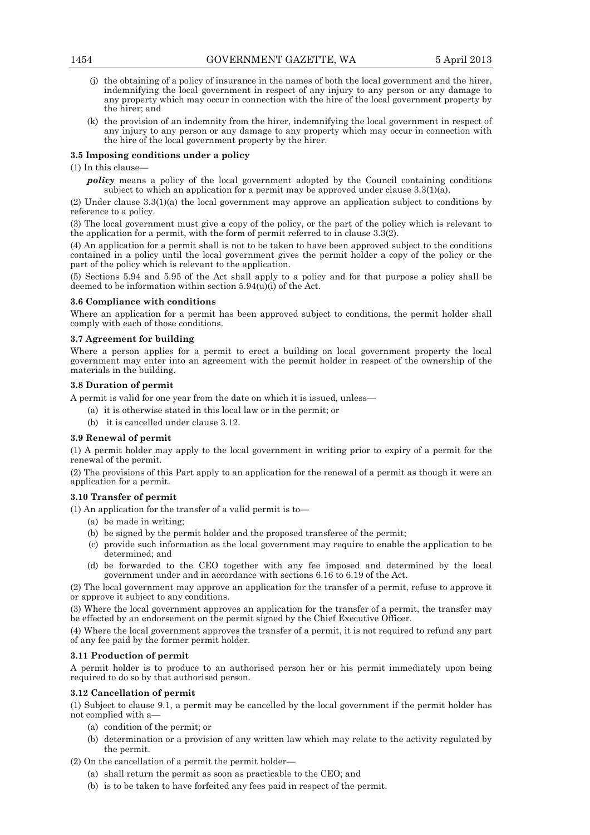- (j) the obtaining of a policy of insurance in the names of both the local government and the hirer, indemnifying the local government in respect of any injury to any person or any damage to any property which may occur in connection with the hire of the local government property by the hirer; and
- (k) the provision of an indemnity from the hirer, indemnifying the local government in respect of any injury to any person or any damage to any property which may occur in connection with the hire of the local government property by the hirer.

## **3.5 Imposing conditions under a policy**

## (1) In this clause—

*policy* means a policy of the local government adopted by the Council containing conditions subject to which an application for a permit may be approved under clause  $3.3(1)(a)$ .

(2) Under clause 3.3(1)(a) the local government may approve an application subject to conditions by reference to a policy.

(3) The local government must give a copy of the policy, or the part of the policy which is relevant to the application for a permit, with the form of permit referred to in clause 3.3(2).

(4) An application for a permit shall is not to be taken to have been approved subject to the conditions contained in a policy until the local government gives the permit holder a copy of the policy or the part of the policy which is relevant to the application.

(5) Sections 5.94 and 5.95 of the Act shall apply to a policy and for that purpose a policy shall be deemed to be information within section  $5.94(\hat{u})(i)$  of the Act.

## **3.6 Compliance with conditions**

Where an application for a permit has been approved subject to conditions, the permit holder shall comply with each of those conditions.

## **3.7 Agreement for building**

Where a person applies for a permit to erect a building on local government property the local government may enter into an agreement with the permit holder in respect of the ownership of the materials in the building.

## **3.8 Duration of permit**

A permit is valid for one year from the date on which it is issued, unless—

- (a) it is otherwise stated in this local law or in the permit; or
- (b) it is cancelled under clause 3.12.

# **3.9 Renewal of permit**

(1) A permit holder may apply to the local government in writing prior to expiry of a permit for the renewal of the permit.

(2) The provisions of this Part apply to an application for the renewal of a permit as though it were an application for a permit.

## **3.10 Transfer of permit**

(1) An application for the transfer of a valid permit is to—

- (a) be made in writing;
- (b) be signed by the permit holder and the proposed transferee of the permit;
- (c) provide such information as the local government may require to enable the application to be determined; and
- (d) be forwarded to the CEO together with any fee imposed and determined by the local government under and in accordance with sections 6.16 to 6.19 of the Act.

(2) The local government may approve an application for the transfer of a permit, refuse to approve it or approve it subject to any conditions.

(3) Where the local government approves an application for the transfer of a permit, the transfer may be effected by an endorsement on the permit signed by the Chief Executive Officer.

(4) Where the local government approves the transfer of a permit, it is not required to refund any part of any fee paid by the former permit holder.

## **3.11 Production of permit**

A permit holder is to produce to an authorised person her or his permit immediately upon being required to do so by that authorised person.

# **3.12 Cancellation of permit**

(1) Subject to clause 9.1, a permit may be cancelled by the local government if the permit holder has not complied with a—

- (a) condition of the permit; or
- (b) determination or a provision of any written law which may relate to the activity regulated by the permit.

(2) On the cancellation of a permit the permit holder—

- (a) shall return the permit as soon as practicable to the CEO; and
- (b) is to be taken to have forfeited any fees paid in respect of the permit.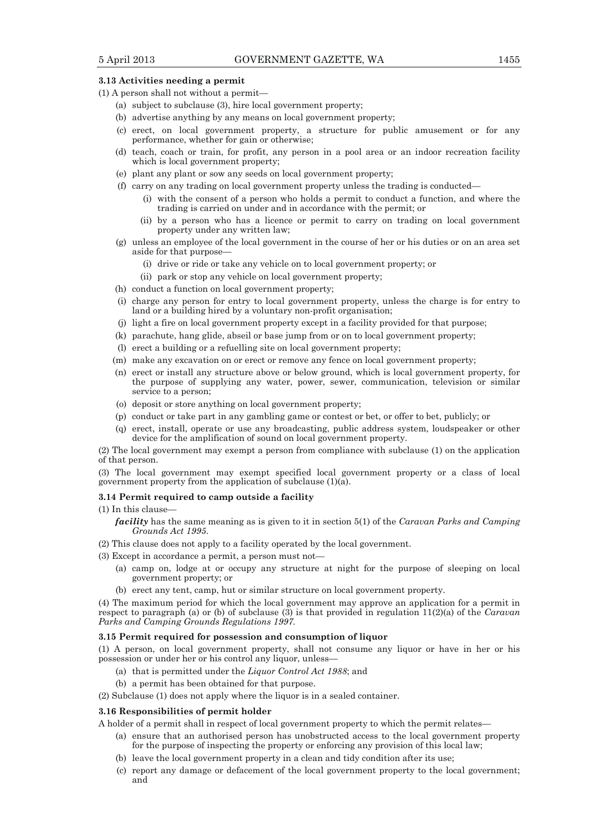## **3.13 Activities needing a permit**

- (1) A person shall not without a permit—
	- (a) subject to subclause (3), hire local government property;
	- (b) advertise anything by any means on local government property;
	- (c) erect, on local government property, a structure for public amusement or for any performance, whether for gain or otherwise;
	- (d) teach, coach or train, for profit, any person in a pool area or an indoor recreation facility which is local government property;
	- (e) plant any plant or sow any seeds on local government property;
	- (f) carry on any trading on local government property unless the trading is conducted—
		- (i) with the consent of a person who holds a permit to conduct a function, and where the trading is carried on under and in accordance with the permit; or
		- (ii) by a person who has a licence or permit to carry on trading on local government property under any written law;
	- (g) unless an employee of the local government in the course of her or his duties or on an area set aside for that purpose—
		- (i) drive or ride or take any vehicle on to local government property; or
		- (ii) park or stop any vehicle on local government property;
	- (h) conduct a function on local government property;
	- (i) charge any person for entry to local government property, unless the charge is for entry to land or a building hired by a voluntary non-profit organisation;
	- (j) light a fire on local government property except in a facility provided for that purpose;
	- (k) parachute, hang glide, abseil or base jump from or on to local government property;
	- (l) erect a building or a refuelling site on local government property;
	- (m) make any excavation on or erect or remove any fence on local government property;
	- (n) erect or install any structure above or below ground, which is local government property, for the purpose of supplying any water, power, sewer, communication, television or similar service to a person;
	- (o) deposit or store anything on local government property;
	- (p) conduct or take part in any gambling game or contest or bet, or offer to bet, publicly; or
	- (q) erect, install, operate or use any broadcasting, public address system, loudspeaker or other device for the amplification of sound on local government property.

(2) The local government may exempt a person from compliance with subclause (1) on the application of that person.

(3) The local government may exempt specified local government property or a class of local government property from the application of subclause  $(1)(\tilde{a})$ .

#### **3.14 Permit required to camp outside a facility**

(1) In this clause—

*facility* has the same meaning as is given to it in section 5(1) of the *Caravan Parks and Camping Grounds Act 1995*.

- (2) This clause does not apply to a facility operated by the local government.
- (3) Except in accordance a permit, a person must not—
	- (a) camp on, lodge at or occupy any structure at night for the purpose of sleeping on local government property; or
	- (b) erect any tent, camp, hut or similar structure on local government property.

(4) The maximum period for which the local government may approve an application for a permit in respect to paragraph (a) or (b) of subclause (3) is that provided in regulation 11(2)(a) of the *Caravan Parks and Camping Grounds Regulations 1997.* 

### **3.15 Permit required for possession and consumption of liquor**

(1) A person, on local government property, shall not consume any liquor or have in her or his possession or under her or his control any liquor, unless—

- (a) that is permitted under the *Liquor Control Act 1988*; and
- (b) a permit has been obtained for that purpose.
- (2) Subclause (1) does not apply where the liquor is in a sealed container.

### **3.16 Responsibilities of permit holder**

A holder of a permit shall in respect of local government property to which the permit relates—

- (a) ensure that an authorised person has unobstructed access to the local government property for the purpose of inspecting the property or enforcing any provision of this local law;
- (b) leave the local government property in a clean and tidy condition after its use;
- (c) report any damage or defacement of the local government property to the local government; and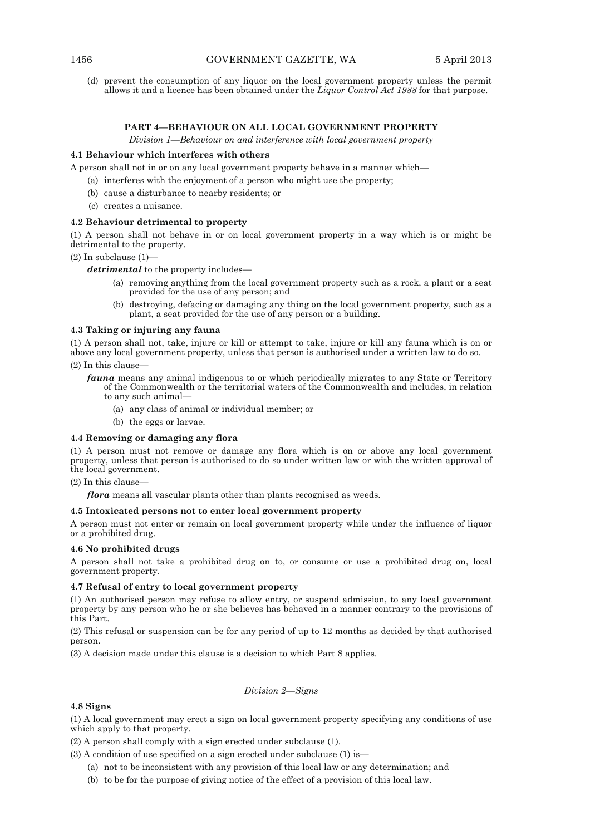(d) prevent the consumption of any liquor on the local government property unless the permit allows it and a licence has been obtained under the *Liquor Control Act 1988* for that purpose.

# **PART 4—BEHAVIOUR ON ALL LOCAL GOVERNMENT PROPERTY**

*Division 1—Behaviour on and interference with local government property* 

## **4.1 Behaviour which interferes with others**

- A person shall not in or on any local government property behave in a manner which—
	- (a) interferes with the enjoyment of a person who might use the property;
	- (b) cause a disturbance to nearby residents; or
	- (c) creates a nuisance.

## **4.2 Behaviour detrimental to property**

(1) A person shall not behave in or on local government property in a way which is or might be detrimental to the property.

# (2) In subclause (1)—

*detrimental* to the property includes—

- (a) removing anything from the local government property such as a rock, a plant or a seat provided for the use of any person; and
- (b) destroying, defacing or damaging any thing on the local government property, such as a plant, a seat provided for the use of any person or a building.

### **4.3 Taking or injuring any fauna**

(1) A person shall not, take, injure or kill or attempt to take, injure or kill any fauna which is on or above any local government property, unless that person is authorised under a written law to do so.  $(2)$  In this clause

- *fauna* means any animal indigenous to or which periodically migrates to any State or Territory of the Commonwealth or the territorial waters of the Commonwealth and includes, in relation to any such animal—
	- (a) any class of animal or individual member; or
	- (b) the eggs or larvae.

### **4.4 Removing or damaging any flora**

(1) A person must not remove or damage any flora which is on or above any local government property, unless that person is authorised to do so under written law or with the written approval of the local government.

### (2) In this clause—

*flora* means all vascular plants other than plants recognised as weeds.

## **4.5 Intoxicated persons not to enter local government property**

A person must not enter or remain on local government property while under the influence of liquor or a prohibited drug.

## **4.6 No prohibited drugs**

A person shall not take a prohibited drug on to, or consume or use a prohibited drug on, local government property.

### **4.7 Refusal of entry to local government property**

(1) An authorised person may refuse to allow entry, or suspend admission, to any local government property by any person who he or she believes has behaved in a manner contrary to the provisions of this Part.

(2) This refusal or suspension can be for any period of up to 12 months as decided by that authorised person.

(3) A decision made under this clause is a decision to which Part 8 applies.

## *Division 2—Signs*

## **4.8 Signs**

(1) A local government may erect a sign on local government property specifying any conditions of use which apply to that property.

(2) A person shall comply with a sign erected under subclause (1).

(3) A condition of use specified on a sign erected under subclause (1) is—

- (a) not to be inconsistent with any provision of this local law or any determination; and
- (b) to be for the purpose of giving notice of the effect of a provision of this local law.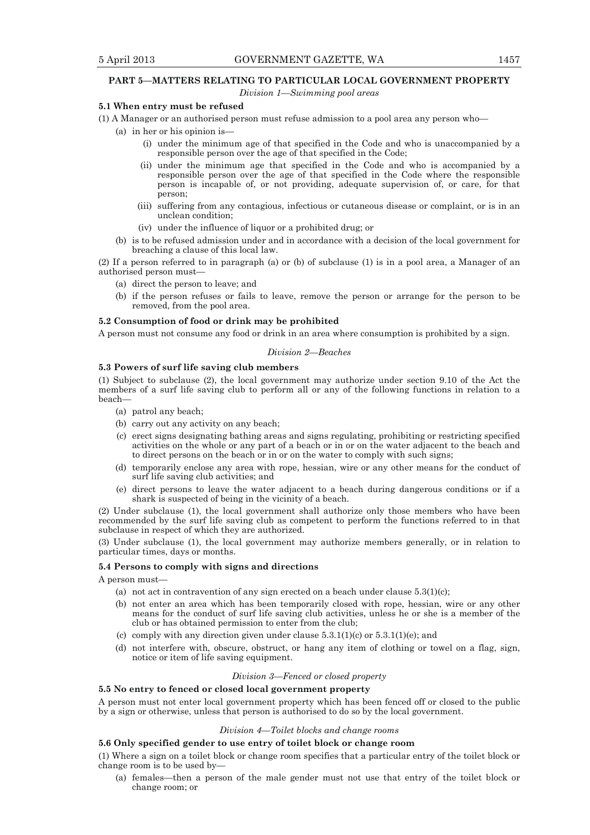# **PART 5—MATTERS RELATING TO PARTICULAR LOCAL GOVERNMENT PROPERTY**

*Division 1—Swimming pool areas* 

# **5.1 When entry must be refused**

- (1) A Manager or an authorised person must refuse admission to a pool area any person who—
	- (a) in her or his opinion is—
		- (i) under the minimum age of that specified in the Code and who is unaccompanied by a responsible person over the age of that specified in the Code;
		- (ii) under the minimum age that specified in the Code and who is accompanied by a responsible person over the age of that specified in the Code where the responsible person is incapable of, or not providing, adequate supervision of, or care, for that person;
		- (iii) suffering from any contagious, infectious or cutaneous disease or complaint, or is in an unclean condition;
		- (iv) under the influence of liquor or a prohibited drug; or
	- (b) is to be refused admission under and in accordance with a decision of the local government for breaching a clause of this local law.

(2) If a person referred to in paragraph (a) or (b) of subclause (1) is in a pool area, a Manager of an authorised person must—

- (a) direct the person to leave; and
- (b) if the person refuses or fails to leave, remove the person or arrange for the person to be removed, from the pool area.

### **5.2 Consumption of food or drink may be prohibited**

A person must not consume any food or drink in an area where consumption is prohibited by a sign.

## *Division 2—Beaches*

## **5.3 Powers of surf life saving club members**

(1) Subject to subclause (2), the local government may authorize under section 9.10 of the Act the members of a surf life saving club to perform all or any of the following functions in relation to a beach—

- (a) patrol any beach;
- (b) carry out any activity on any beach;
- (c) erect signs designating bathing areas and signs regulating, prohibiting or restricting specified activities on the whole or any part of a beach or in or on the water adjacent to the beach and to direct persons on the beach or in or on the water to comply with such signs;
- (d) temporarily enclose any area with rope, hessian, wire or any other means for the conduct of surf life saving club activities; and
- (e) direct persons to leave the water adjacent to a beach during dangerous conditions or if a shark is suspected of being in the vicinity of a beach.

(2) Under subclause (1), the local government shall authorize only those members who have been recommended by the surf life saving club as competent to perform the functions referred to in that subclause in respect of which they are authorized.

(3) Under subclause (1), the local government may authorize members generally, or in relation to particular times, days or months.

#### **5.4 Persons to comply with signs and directions**

A person must—

- (a) not act in contravention of any sign erected on a beach under clause  $5.3(1)(c)$ ;
- (b) not enter an area which has been temporarily closed with rope, hessian, wire or any other means for the conduct of surf life saving club activities, unless he or she is a member of the club or has obtained permission to enter from the club;
- (c) comply with any direction given under clause  $5.3.1(1)(c)$  or  $5.3.1(1)(e)$ ; and
- (d) not interfere with, obscure, obstruct, or hang any item of clothing or towel on a flag, sign, notice or item of life saving equipment.

#### *Division 3—Fenced or closed property*

### **5.5 No entry to fenced or closed local government property**

A person must not enter local government property which has been fenced off or closed to the public by a sign or otherwise, unless that person is authorised to do so by the local government.

#### *Division 4—Toilet blocks and change rooms*

## **5.6 Only specified gender to use entry of toilet block or change room**

(1) Where a sign on a toilet block or change room specifies that a particular entry of the toilet block or change room is to be used by—

 (a) females—then a person of the male gender must not use that entry of the toilet block or change room; or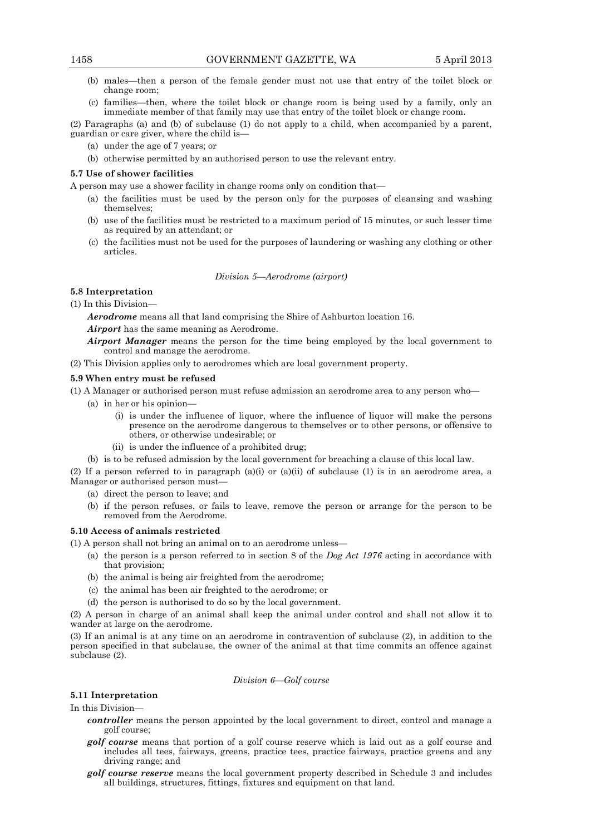- (b) males—then a person of the female gender must not use that entry of the toilet block or change room;
- (c) families—then, where the toilet block or change room is being used by a family, only an immediate member of that family may use that entry of the toilet block or change room.

(2) Paragraphs (a) and (b) of subclause (1) do not apply to a child, when accompanied by a parent, guardian or care giver, where the child is—

- (a) under the age of 7 years; or
- (b) otherwise permitted by an authorised person to use the relevant entry.

## **5.7 Use of shower facilities**

A person may use a shower facility in change rooms only on condition that—

- (a) the facilities must be used by the person only for the purposes of cleansing and washing themselves;
- (b) use of the facilities must be restricted to a maximum period of 15 minutes, or such lesser time as required by an attendant; or
- (c) the facilities must not be used for the purposes of laundering or washing any clothing or other articles.

## *Division 5—Aerodrome (airport)*

## **5.8 Interpretation**

(1) In this Division—

*Aerodrome* means all that land comprising the Shire of Ashburton location 16.

- *Airport* has the same meaning as Aerodrome.
- *Airport Manager* means the person for the time being employed by the local government to control and manage the aerodrome.
- (2) This Division applies only to aerodromes which are local government property.

### **5.9 When entry must be refused**

(1) A Manager or authorised person must refuse admission an aerodrome area to any person who—

- (a) in her or his opinion—
	- (i) is under the influence of liquor, where the influence of liquor will make the persons presence on the aerodrome dangerous to themselves or to other persons, or offensive to others, or otherwise undesirable; or
	- (ii) is under the influence of a prohibited drug;
- (b) is to be refused admission by the local government for breaching a clause of this local law.

(2) If a person referred to in paragraph (a)(i) or (a)(ii) of subclause (1) is in an aerodrome area, a Manager or authorised person must—

- (a) direct the person to leave; and
- (b) if the person refuses, or fails to leave, remove the person or arrange for the person to be removed from the Aerodrome.

### **5.10 Access of animals restricted**

(1) A person shall not bring an animal on to an aerodrome unless—

- (a) the person is a person referred to in section 8 of the *Dog Act 1976* acting in accordance with that provision;
- (b) the animal is being air freighted from the aerodrome;
- (c) the animal has been air freighted to the aerodrome; or
- (d) the person is authorised to do so by the local government.

(2) A person in charge of an animal shall keep the animal under control and shall not allow it to wander at large on the aerodrome.

(3) If an animal is at any time on an aerodrome in contravention of subclause (2), in addition to the person specified in that subclause, the owner of the animal at that time commits an offence against subclause (2).

## *Division 6—Golf course*

#### **5.11 Interpretation**

In this Division—

- *controller* means the person appointed by the local government to direct, control and manage a golf course;
- *golf course* means that portion of a golf course reserve which is laid out as a golf course and includes all tees, fairways, greens, practice tees, practice fairways, practice greens and any driving range; and
- *golf course reserve* means the local government property described in Schedule 3 and includes all buildings, structures, fittings, fixtures and equipment on that land.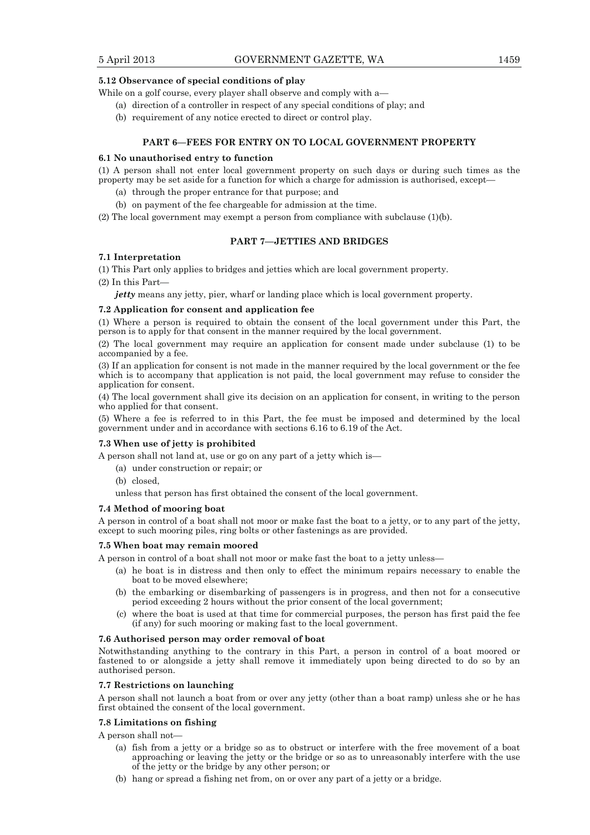## **5.12 Observance of special conditions of play**

While on a golf course, every player shall observe and comply with a—

- (a) direction of a controller in respect of any special conditions of play; and
- (b) requirement of any notice erected to direct or control play.

## **PART 6—FEES FOR ENTRY ON TO LOCAL GOVERNMENT PROPERTY**

#### **6.1 No unauthorised entry to function**

(1) A person shall not enter local government property on such days or during such times as the property may be set aside for a function for which a charge for admission is authorised, except—

- (a) through the proper entrance for that purpose; and
- (b) on payment of the fee chargeable for admission at the time.

(2) The local government may exempt a person from compliance with subclause (1)(b).

## **PART 7—JETTIES AND BRIDGES**

#### **7.1 Interpretation**

(1) This Part only applies to bridges and jetties which are local government property.

(2) In this Part—

*jetty* means any jetty, pier, wharf or landing place which is local government property.

#### **7.2 Application for consent and application fee**

(1) Where a person is required to obtain the consent of the local government under this Part, the person is to apply for that consent in the manner required by the local government.

(2) The local government may require an application for consent made under subclause (1) to be accompanied by a fee.

(3) If an application for consent is not made in the manner required by the local government or the fee which is to accompany that application is not paid, the local government may refuse to consider the application for consent.

(4) The local government shall give its decision on an application for consent, in writing to the person who applied for that consent.

(5) Where a fee is referred to in this Part, the fee must be imposed and determined by the local government under and in accordance with sections 6.16 to 6.19 of the Act.

### **7.3 When use of jetty is prohibited**

A person shall not land at, use or go on any part of a jetty which is—

- (a) under construction or repair; or
- (b) closed,

unless that person has first obtained the consent of the local government.

## **7.4 Method of mooring boat**

A person in control of a boat shall not moor or make fast the boat to a jetty, or to any part of the jetty, except to such mooring piles, ring bolts or other fastenings as are provided.

### **7.5 When boat may remain moored**

A person in control of a boat shall not moor or make fast the boat to a jetty unless—

- (a) he boat is in distress and then only to effect the minimum repairs necessary to enable the boat to be moved elsewhere;
- (b) the embarking or disembarking of passengers is in progress, and then not for a consecutive period exceeding 2 hours without the prior consent of the local government;
- (c) where the boat is used at that time for commercial purposes, the person has first paid the fee (if any) for such mooring or making fast to the local government.

## **7.6 Authorised person may order removal of boat**

Notwithstanding anything to the contrary in this Part, a person in control of a boat moored or fastened to or alongside a jetty shall remove it immediately upon being directed to do so by an authorised person.

#### **7.7 Restrictions on launching**

A person shall not launch a boat from or over any jetty (other than a boat ramp) unless she or he has first obtained the consent of the local government.

## **7.8 Limitations on fishing**

A person shall not—

- (a) fish from a jetty or a bridge so as to obstruct or interfere with the free movement of a boat approaching or leaving the jetty or the bridge or so as to unreasonably interfere with the use of the jetty or the bridge by any other person; or
- (b) hang or spread a fishing net from, on or over any part of a jetty or a bridge.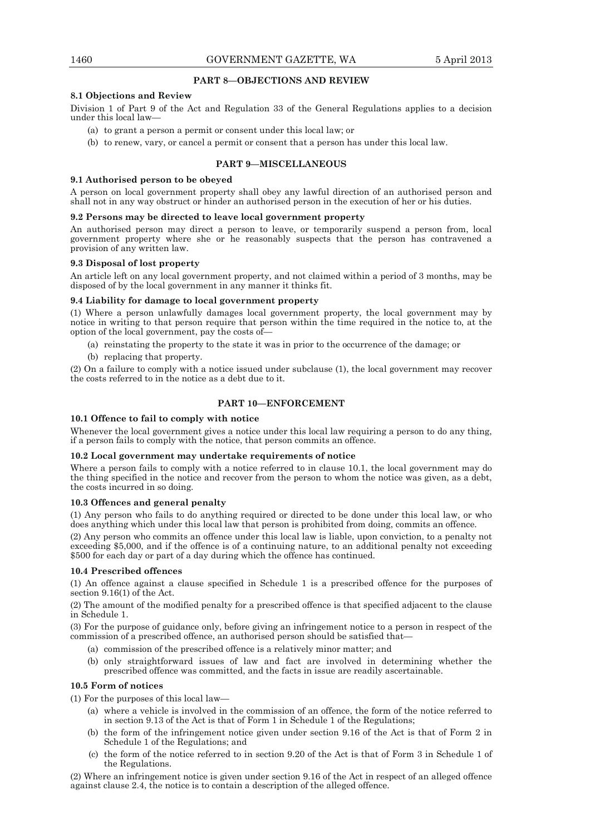## **PART 8—OBJECTIONS AND REVIEW**

## **8.1 Objections and Review**

Division 1 of Part 9 of the Act and Regulation 33 of the General Regulations applies to a decision under this local law—

- (a) to grant a person a permit or consent under this local law; or
- (b) to renew, vary, or cancel a permit or consent that a person has under this local law.

## **PART 9—MISCELLANEOUS**

### **9.1 Authorised person to be obeyed**

A person on local government property shall obey any lawful direction of an authorised person and shall not in any way obstruct or hinder an authorised person in the execution of her or his duties.

### **9.2 Persons may be directed to leave local government property**

An authorised person may direct a person to leave, or temporarily suspend a person from, local government property where she or he reasonably suspects that the person has contravened a provision of any written law.

## **9.3 Disposal of lost property**

An article left on any local government property, and not claimed within a period of 3 months, may be disposed of by the local government in any manner it thinks fit.

## **9.4 Liability for damage to local government property**

(1) Where a person unlawfully damages local government property, the local government may by notice in writing to that person require that person within the time required in the notice to, at the option of the local government, pay the costs of—

(a) reinstating the property to the state it was in prior to the occurrence of the damage; or

(b) replacing that property.

(2) On a failure to comply with a notice issued under subclause (1), the local government may recover the costs referred to in the notice as a debt due to it.

## **PART 10—ENFORCEMENT**

# **10.1 Offence to fail to comply with notice**

Whenever the local government gives a notice under this local law requiring a person to do any thing, if a person fails to comply with the notice, that person commits an offence.

### **10.2 Local government may undertake requirements of notice**

Where a person fails to comply with a notice referred to in clause 10.1, the local government may do the thing specified in the notice and recover from the person to whom the notice was given, as a debt, the costs incurred in so doing.

### **10.3 Offences and general penalty**

(1) Any person who fails to do anything required or directed to be done under this local law, or who does anything which under this local law that person is prohibited from doing, commits an offence.

(2) Any person who commits an offence under this local law is liable, upon conviction, to a penalty not exceeding \$5,000, and if the offence is of a continuing nature, to an additional penalty not exceeding \$500 for each day or part of a day during which the offence has continued.

# **10.4 Prescribed offences**

(1) An offence against a clause specified in Schedule 1 is a prescribed offence for the purposes of section 9.16(1) of the Act.

(2) The amount of the modified penalty for a prescribed offence is that specified adjacent to the clause in Schedule 1.

(3) For the purpose of guidance only, before giving an infringement notice to a person in respect of the commission of a prescribed offence, an authorised person should be satisfied that—

- (a) commission of the prescribed offence is a relatively minor matter; and
- (b) only straightforward issues of law and fact are involved in determining whether the prescribed offence was committed, and the facts in issue are readily ascertainable.

### **10.5 Form of notices**

(1) For the purposes of this local law—

- (a) where a vehicle is involved in the commission of an offence, the form of the notice referred to in section 9.13 of the Act is that of Form 1 in Schedule 1 of the Regulations;
- (b) the form of the infringement notice given under section 9.16 of the Act is that of Form 2 in Schedule 1 of the Regulations; and
- (c) the form of the notice referred to in section 9.20 of the Act is that of Form 3 in Schedule 1 of the Regulations.

(2) Where an infringement notice is given under section 9.16 of the Act in respect of an alleged offence against clause 2.4, the notice is to contain a description of the alleged offence.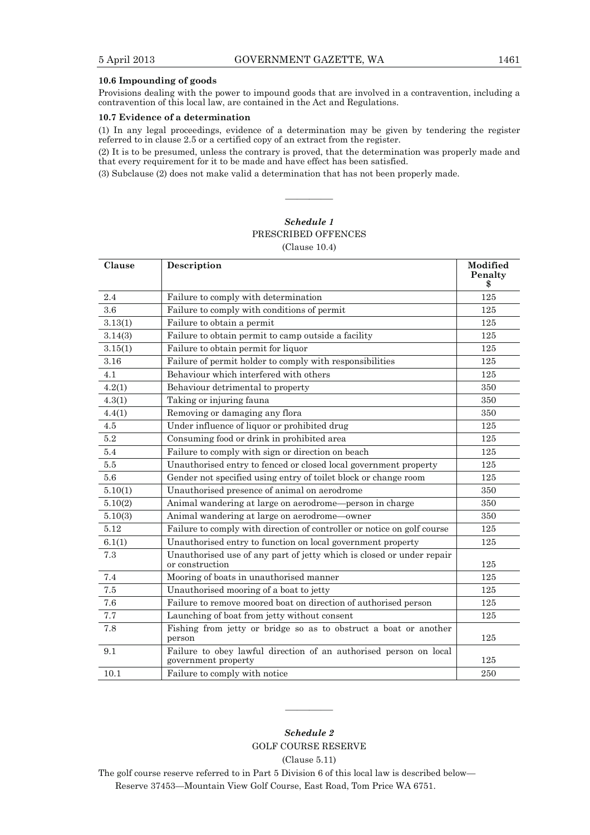# **10.6 Impounding of goods**

Provisions dealing with the power to impound goods that are involved in a contravention, including a contravention of this local law, are contained in the Act and Regulations.

# **10.7 Evidence of a determination**

(1) In any legal proceedings, evidence of a determination may be given by tendering the register referred to in clause 2.5 or a certified copy of an extract from the register.

(2) It is to be presumed, unless the contrary is proved, that the determination was properly made and that every requirement for it to be made and have effect has been satisfied.

————

(3) Subclause (2) does not make valid a determination that has not been properly made.

# *Schedule 1*  PRESCRIBED OFFENCES (Clause 10.4)

| Clause  | Description                                                                              | Modified<br>Penalty<br>\$ |
|---------|------------------------------------------------------------------------------------------|---------------------------|
| 2.4     | Failure to comply with determination                                                     | 125                       |
| 3.6     | Failure to comply with conditions of permit                                              | 125                       |
| 3.13(1) | Failure to obtain a permit                                                               | 125                       |
| 3.14(3) | Failure to obtain permit to camp outside a facility                                      | 125                       |
| 3.15(1) | Failure to obtain permit for liquor                                                      | 125                       |
| 3.16    | Failure of permit holder to comply with responsibilities                                 | 125                       |
| 4.1     | Behaviour which interfered with others                                                   | 125                       |
| 4.2(1)  | Behaviour detrimental to property                                                        | 350                       |
| 4.3(1)  | Taking or injuring fauna                                                                 | 350                       |
| 4.4(1)  | Removing or damaging any flora                                                           | 350                       |
| 4.5     | Under influence of liquor or prohibited drug                                             | 125                       |
| $5.2\,$ | Consuming food or drink in prohibited area                                               | 125                       |
| 5.4     | Failure to comply with sign or direction on beach                                        | 125                       |
| 5.5     | Unauthorised entry to fenced or closed local government property                         | 125                       |
| 5.6     | Gender not specified using entry of toilet block or change room                          | 125                       |
| 5.10(1) | Unauthorised presence of animal on aerodrome                                             | 350                       |
| 5.10(2) | Animal wandering at large on aerodrome-person in charge                                  | 350                       |
| 5.10(3) | Animal wandering at large on aerodrome-owner                                             | 350                       |
| 5.12    | Failure to comply with direction of controller or notice on golf course                  | 125                       |
| 6.1(1)  | Unauthorised entry to function on local government property                              | 125                       |
| 7.3     | Unauthorised use of any part of jetty which is closed or under repair<br>or construction | 125                       |
| 7.4     | Mooring of boats in unauthorised manner                                                  | 125                       |
| 7.5     | Unauthorised mooring of a boat to jetty                                                  | 125                       |
| 7.6     | Failure to remove moored boat on direction of authorised person                          | 125                       |
| 7.7     | Launching of boat from jetty without consent                                             | 125                       |
| 7.8     | Fishing from jetty or bridge so as to obstruct a boat or another<br>person               | 125                       |
| 9.1     | Failure to obey lawful direction of an authorised person on local<br>government property | 125                       |
| 10.1    | Failure to comply with notice                                                            | 250                       |

*Schedule 2*  GOLF COURSE RESERVE

————

(Clause 5.11)

The golf course reserve referred to in Part 5 Division 6 of this local law is described below— Reserve 37453—Mountain View Golf Course, East Road, Tom Price WA 6751.